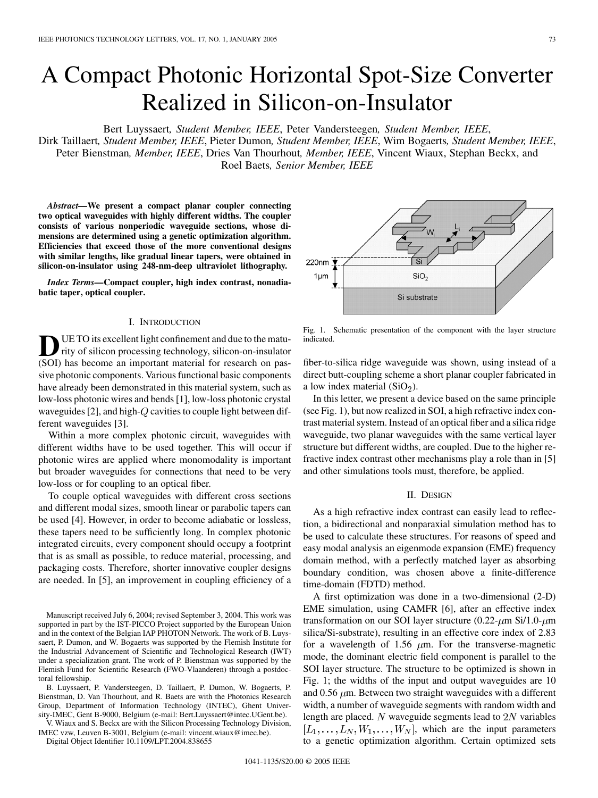# A Compact Photonic Horizontal Spot-Size Converter Realized in Silicon-on-Insulator

Bert Luyssaert*, Student Member, IEEE*, Peter Vandersteegen*, Student Member, IEEE*,

Dirk Taillaert*, Student Member, IEEE*, Pieter Dumon*, Student Member, IEEE*, Wim Bogaerts*, Student Member, IEEE*, Peter Bienstman*, Member, IEEE*, Dries Van Thourhout*, Member, IEEE*, Vincent Wiaux, Stephan Beckx, and Roel Baets*, Senior Member, IEEE*

*Abstract—***We present a compact planar coupler connecting two optical waveguides with highly different widths. The coupler consists of various nonperiodic waveguide sections, whose dimensions are determined using a genetic optimization algorithm. Efficiencies that exceed those of the more conventional designs with similar lengths, like gradual linear tapers, were obtained in silicon-on-insulator using 248-nm-deep ultraviolet lithography.**

*Index Terms—***Compact coupler, high index contrast, nonadiabatic taper, optical coupler.**

# I. INTRODUCTION

**D**UE TO its excellent light confinement and due to the matu-<br>rity of silicon processing technology, silicon-on-insulator<br>(SOD) has become an important material for message an acc (SOI) has become an important material for research on passive photonic components. Various functional basic components have already been demonstrated in this material system, such as low-loss photonic wires and bends [\[1](#page-2-0)], low-loss photonic crystal waveguides [[2\]](#page-2-0), and high- $Q$  cavities to couple light between different waveguides [[3\]](#page-2-0).

Within a more complex photonic circuit, waveguides with different widths have to be used together. This will occur if photonic wires are applied where monomodality is important but broader waveguides for connections that need to be very low-loss or for coupling to an optical fiber.

To couple optical waveguides with different cross sections and different modal sizes, smooth linear or parabolic tapers can be used [\[4](#page-2-0)]. However, in order to become adiabatic or lossless, these tapers need to be sufficiently long. In complex photonic integrated circuits, every component should occupy a footprint that is as small as possible, to reduce material, processing, and packaging costs. Therefore, shorter innovative coupler designs are needed. In [\[5](#page-2-0)], an improvement in coupling efficiency of a

Manuscript received July 6, 2004; revised September 3, 2004. This work was supported in part by the IST-PICCO Project supported by the European Union and in the context of the Belgian IAP PHOTON Network. The work of B. Luyssaert, P. Dumon, and W. Bogaerts was supported by the Flemish Institute for the Industrial Advancement of Scientific and Technological Research (IWT) under a specialization grant. The work of P. Bienstman was supported by the Flemish Fund for Scientific Research (FWO-Vlaanderen) through a postdoctoral fellowship.

B. Luyssaert, P. Vandersteegen, D. Taillaert, P. Dumon, W. Bogaerts, P. Bienstman, D. Van Thourhout, and R. Baets are with the Photonics Research Group, Department of Information Technology (INTEC), Ghent University-IMEC, Gent B-9000, Belgium (e-mail: Bert.Luyssaert@intec.UGent.be).

V. Wiaux and S. Beckx are with the Silicon Processing Technology Division, IMEC vzw, Leuven B-3001, Belgium (e-mail: vincent.wiaux@imec.be).

Digital Object Identifier 10.1109/LPT.2004.838655



Fig. 1. Schematic presentation of the component with the layer structure indicated.

fiber-to-silica ridge waveguide was shown, using instead of a direct butt-coupling scheme a short planar coupler fabricated in a low index material  $(SiO<sub>2</sub>)$ .

In this letter, we present a device based on the same principle (see Fig. 1), but now realized in SOI, a high refractive index contrast material system. Instead of an optical fiber and a silica ridge waveguide, two planar waveguides with the same vertical layer structure but different widths, are coupled. Due to the higher refractive index contrast other mechanisms play a role than in [[5\]](#page-2-0) and other simulations tools must, therefore, be applied.

## II. DESIGN

As a high refractive index contrast can easily lead to reflection, a bidirectional and nonparaxial simulation method has to be used to calculate these structures. For reasons of speed and easy modal analysis an eigenmode expansion (EME) frequency domain method, with a perfectly matched layer as absorbing boundary condition, was chosen above a finite-difference time-domain (FDTD) method.

A first optimization was done in a two-dimensional (2-D) EME simulation, using CAMFR [\[6](#page-2-0)], after an effective index transformation on our SOI layer structure  $(0.22 \text{--} \mu \text{m Si/1.0-} \mu \text{m})$ silica/Si-substrate), resulting in an effective core index of 2.83 for a wavelength of 1.56  $\mu$ m. For the transverse-magnetic mode, the dominant electric field component is parallel to the SOI layer structure. The structure to be optimized is shown in Fig. 1; the widths of the input and output waveguides are 10 and 0.56  $\mu$ m. Between two straight waveguides with a different width, a number of waveguide segments with random width and length are placed.  $N$  waveguide segments lead to  $2N$  variables  $[L_1, \ldots, L_N, W_1, \ldots, W_N]$ , which are the input parameters to a genetic optimization algorithm. Certain optimized sets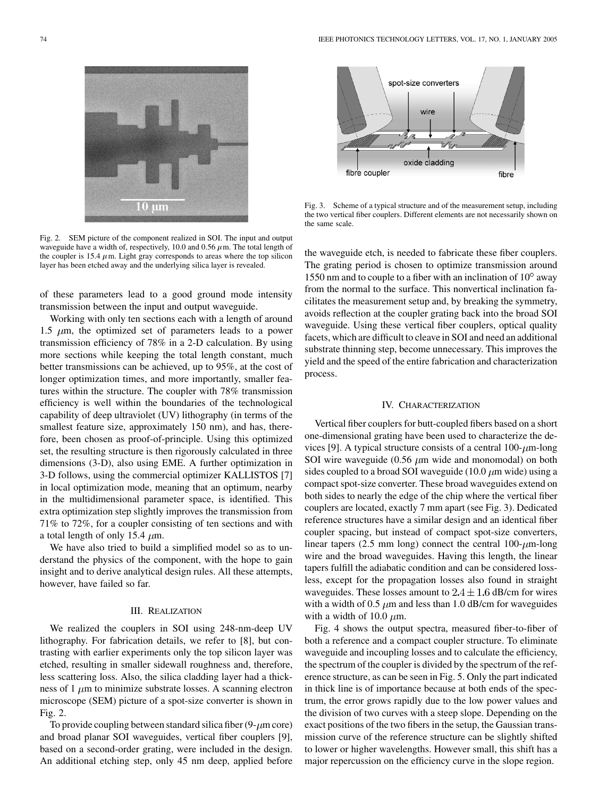

Fig. 2. SEM picture of the component realized in SOI. The input and output waveguide have a width of, respectively, 10.0 and 0.56  $\mu$ m. The total length of the coupler is 15.4  $\mu$ m. Light gray corresponds to areas where the top silicon layer has been etched away and the underlying silica layer is revealed.

of these parameters lead to a good ground mode intensity transmission between the input and output waveguide.

Working with only ten sections each with a length of around 1.5  $\mu$ m, the optimized set of parameters leads to a power transmission efficiency of 78% in a 2-D calculation. By using more sections while keeping the total length constant, much better transmissions can be achieved, up to 95%, at the cost of longer optimization times, and more importantly, smaller features within the structure. The coupler with 78% transmission efficiency is well within the boundaries of the technological capability of deep ultraviolet (UV) lithography (in terms of the smallest feature size, approximately 150 nm), and has, therefore, been chosen as proof-of-principle. Using this optimized set, the resulting structure is then rigorously calculated in three dimensions (3-D), also using EME. A further optimization in 3-D follows, using the commercial optimizer KALLISTOS [\[7](#page-2-0)] in local optimization mode, meaning that an optimum, nearby in the multidimensional parameter space, is identified. This extra optimization step slightly improves the transmission from 71% to 72%, for a coupler consisting of ten sections and with a total length of only 15.4  $\mu$ m.

We have also tried to build a simplified model so as to understand the physics of the component, with the hope to gain insight and to derive analytical design rules. All these attempts, however, have failed so far.

## III. REALIZATION

We realized the couplers in SOI using 248-nm-deep UV lithography. For fabrication details, we refer to [[8\]](#page-2-0), but contrasting with earlier experiments only the top silicon layer was etched, resulting in smaller sidewall roughness and, therefore, less scattering loss. Also, the silica cladding layer had a thickness of 1  $\mu$ m to minimize substrate losses. A scanning electron microscope (SEM) picture of a spot-size converter is shown in Fig. 2.

To provide coupling between standard silica fiber  $(9-\mu m)$  core) and broad planar SOI waveguides, vertical fiber couplers [[9\]](#page-2-0), based on a second-order grating, were included in the design. An additional etching step, only 45 nm deep, applied before



Fig. 3. Scheme of a typical structure and of the measurement setup, including the two vertical fiber couplers. Different elements are not necessarily shown on the same scale.

the waveguide etch, is needed to fabricate these fiber couplers. The grating period is chosen to optimize transmission around 1550 nm and to couple to a fiber with an inclination of  $10^{\circ}$  away from the normal to the surface. This nonvertical inclination facilitates the measurement setup and, by breaking the symmetry, avoids reflection at the coupler grating back into the broad SOI waveguide. Using these vertical fiber couplers, optical quality facets, which are difficult to cleave in SOI and need an additional substrate thinning step, become unnecessary. This improves the yield and the speed of the entire fabrication and characterization process.

# IV. CHARACTERIZATION

Vertical fiber couplers for butt-coupled fibers based on a short one-dimensional grating have been used to characterize the de-vices [[9\]](#page-2-0). A typical structure consists of a central  $100-\mu m$ -long SOI wire waveguide (0.56  $\mu$ m wide and monomodal) on both sides coupled to a broad SOI waveguide (10.0  $\mu$ m wide) using a compact spot-size converter. These broad waveguides extend on both sides to nearly the edge of the chip where the vertical fiber couplers are located, exactly 7 mm apart (see Fig. 3). Dedicated reference structures have a similar design and an identical fiber coupler spacing, but instead of compact spot-size converters, linear tapers (2.5 mm long) connect the central  $100-\mu$ m-long wire and the broad waveguides. Having this length, the linear tapers fulfill the adiabatic condition and can be considered lossless, except for the propagation losses also found in straight waveguides. These losses amount to  $2.4 \pm 1.6$  dB/cm for wires with a width of 0.5  $\mu$ m and less than 1.0 dB/cm for waveguides with a width of 10.0  $\mu$ m.

Fig. 4 shows the output spectra, measured fiber-to-fiber of both a reference and a compact coupler structure. To eliminate waveguide and incoupling losses and to calculate the efficiency, the spectrum of the coupler is divided by the spectrum of the reference structure, as can be seen in Fig. 5. Only the part indicated in thick line is of importance because at both ends of the spectrum, the error grows rapidly due to the low power values and the division of two curves with a steep slope. Depending on the exact positions of the two fibers in the setup, the Gaussian transmission curve of the reference structure can be slightly shifted to lower or higher wavelengths. However small, this shift has a major repercussion on the efficiency curve in the slope region.